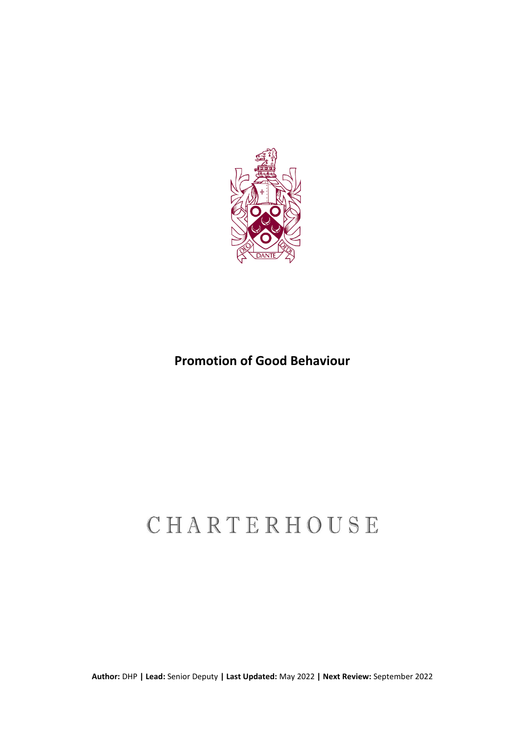

## **Promotion of Good Behaviour**

# CHARTERHOUSE

**Author:** DHP **| Lead:** Senior Deputy **| Last Updated:** May 2022 **| Next Review:** September 2022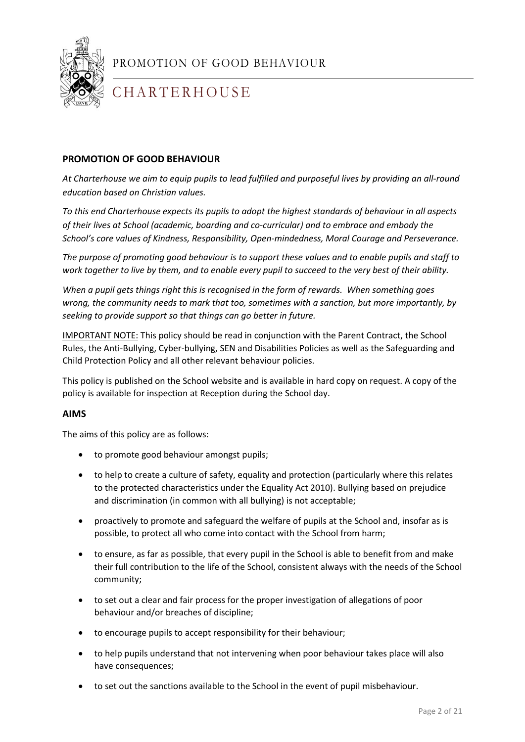

## **CHARTERHOUSE**

#### **PROMOTION OF GOOD BEHAVIOUR**

*At Charterhouse we aim to equip pupils to lead fulfilled and purposeful lives by providing an all-round education based on Christian values.* 

*To this end Charterhouse expects its pupils to adopt the highest standards of behaviour in all aspects of their lives at School (academic, boarding and co-curricular) and to embrace and embody the School's core values of Kindness, Responsibility, Open-mindedness, Moral Courage and Perseverance.* 

*The purpose of promoting good behaviour is to support these values and to enable pupils and staff to work together to live by them, and to enable every pupil to succeed to the very best of their ability.*

*When a pupil gets things right this is recognised in the form of rewards. When something goes wrong, the community needs to mark that too, sometimes with a sanction, but more importantly, by seeking to provide support so that things can go better in future.* 

IMPORTANT NOTE: This policy should be read in conjunction with the Parent Contract, the School Rules, the Anti-Bullying, Cyber-bullying, SEN and Disabilities Policies as well as the Safeguarding and Child Protection Policy and all other relevant behaviour policies.

This policy is published on the School website and is available in hard copy on request. A copy of the policy is available for inspection at Reception during the School day.

#### **AIMS**

The aims of this policy are as follows:

- to promote good behaviour amongst pupils;
- to help to create a culture of safety, equality and protection (particularly where this relates to the protected characteristics under the Equality Act 2010). Bullying based on prejudice and discrimination (in common with all bullying) is not acceptable;
- proactively to promote and safeguard the welfare of pupils at the School and, insofar as is possible, to protect all who come into contact with the School from harm;
- to ensure, as far as possible, that every pupil in the School is able to benefit from and make their full contribution to the life of the School, consistent always with the needs of the School community;
- to set out a clear and fair process for the proper investigation of allegations of poor behaviour and/or breaches of discipline;
- to encourage pupils to accept responsibility for their behaviour;
- to help pupils understand that not intervening when poor behaviour takes place will also have consequences;
- to set out the sanctions available to the School in the event of pupil misbehaviour.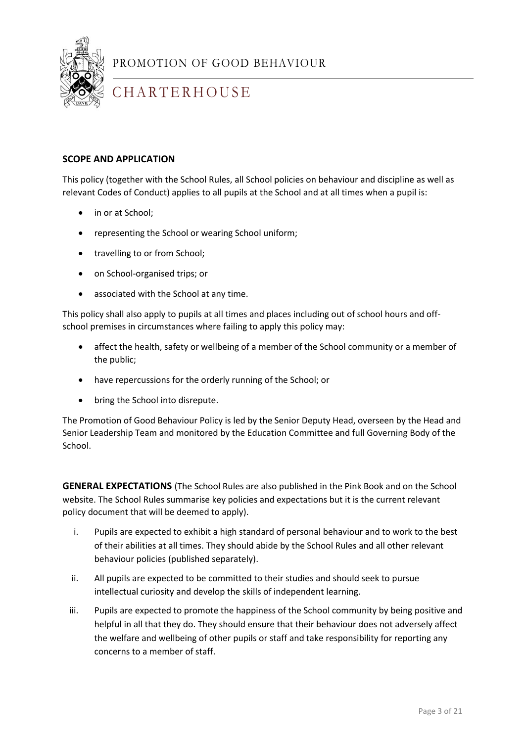

## **CHARTERHOUSE**

#### **SCOPE AND APPLICATION**

This policy (together with the School Rules, all School policies on behaviour and discipline as well as relevant Codes of Conduct) applies to all pupils at the School and at all times when a pupil is:

- in or at School;
- representing the School or wearing School uniform;
- travelling to or from School;
- on School-organised trips; or
- associated with the School at any time.

This policy shall also apply to pupils at all times and places including out of school hours and offschool premises in circumstances where failing to apply this policy may:

- affect the health, safety or wellbeing of a member of the School community or a member of the public;
- have repercussions for the orderly running of the School; or
- bring the School into disrepute.

The Promotion of Good Behaviour Policy is led by the Senior Deputy Head, overseen by the Head and Senior Leadership Team and monitored by the Education Committee and full Governing Body of the School.

**GENERAL EXPECTATIONS** (The School Rules are also published in the Pink Book and on the School website. The School Rules summarise key policies and expectations but it is the current relevant policy document that will be deemed to apply).

- i. Pupils are expected to exhibit a high standard of personal behaviour and to work to the best of their abilities at all times. They should abide by the School Rules and all other relevant behaviour policies (published separately).
- ii. All pupils are expected to be committed to their studies and should seek to pursue intellectual curiosity and develop the skills of independent learning.
- iii. Pupils are expected to promote the happiness of the School community by being positive and helpful in all that they do. They should ensure that their behaviour does not adversely affect the welfare and wellbeing of other pupils or staff and take responsibility for reporting any concerns to a member of staff.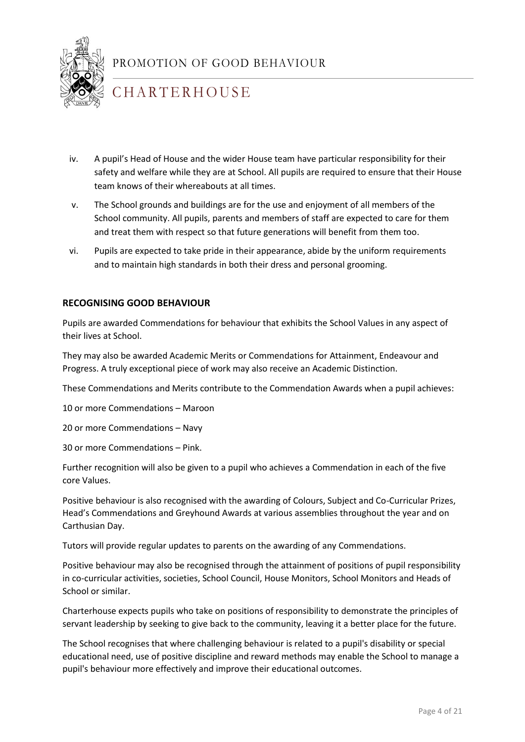

## **CHARTERHOUSE**

- iv. A pupil's Head of House and the wider House team have particular responsibility for their safety and welfare while they are at School. All pupils are required to ensure that their House team knows of their whereabouts at all times.
- v. The School grounds and buildings are for the use and enjoyment of all members of the School community. All pupils, parents and members of staff are expected to care for them and treat them with respect so that future generations will benefit from them too.
- vi. Pupils are expected to take pride in their appearance, abide by the uniform requirements and to maintain high standards in both their dress and personal grooming.

#### **RECOGNISING GOOD BEHAVIOUR**

Pupils are awarded Commendations for behaviour that exhibits the School Values in any aspect of their lives at School.

They may also be awarded Academic Merits or Commendations for Attainment, Endeavour and Progress. A truly exceptional piece of work may also receive an Academic Distinction.

These Commendations and Merits contribute to the Commendation Awards when a pupil achieves:

10 or more Commendations – Maroon

20 or more Commendations – Navy

30 or more Commendations – Pink.

Further recognition will also be given to a pupil who achieves a Commendation in each of the five core Values.

Positive behaviour is also recognised with the awarding of Colours, Subject and Co-Curricular Prizes, Head's Commendations and Greyhound Awards at various assemblies throughout the year and on Carthusian Day.

1 Tutors will provide regular updates to parents on the awarding of any Commendations.

Positive behaviour may also be recognised through the attainment of positions of pupil responsibility in co-curricular activities, societies, School Council, House Monitors, School Monitors and Heads of School or similar.

Charterhouse expects pupils who take on positions of responsibility to demonstrate the principles of servant leadership by seeking to give back to the community, leaving it a better place for the future.

The School recognises that where challenging behaviour is related to a pupil's disability or special educational need, use of positive discipline and reward methods may enable the School to manage a pupil's behaviour more effectively and improve their educational outcomes.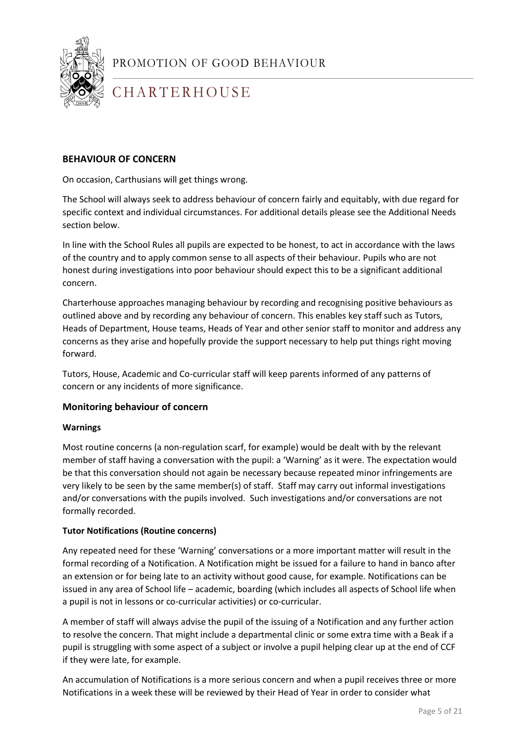

## **CHARTERHOUSE**

#### **BEHAVIOUR OF CONCERN**

On occasion, Carthusians will get things wrong.

The School will always seek to address behaviour of concern fairly and equitably, with due regard for specific context and individual circumstances. For additional details please see the Additional Needs section below.

In line with the School Rules all pupils are expected to be honest, to act in accordance with the laws of the country and to apply common sense to all aspects of their behaviour. Pupils who are not honest during investigations into poor behaviour should expect this to be a significant additional concern.

Charterhouse approaches managing behaviour by recording and recognising positive behaviours as outlined above and by recording any behaviour of concern. This enables key staff such as Tutors, Heads of Department, House teams, Heads of Year and other senior staff to monitor and address any concerns as they arise and hopefully provide the support necessary to help put things right moving forward.

Tutors, House, Academic and Co-curricular staff will keep parents informed of any patterns of concern or any incidents of more significance.

#### **Monitoring behaviour of concern**

#### **Warnings**

Most routine concerns (a non-regulation scarf, for example) would be dealt with by the relevant member of staff having a conversation with the pupil: a 'Warning' as it were. The expectation would be that this conversation should not again be necessary because repeated minor infringements are very likely to be seen by the same member(s) of staff. Staff may carry out informal investigations and/or conversations with the pupils involved. Such investigations and/or conversations are not formally recorded.

#### **Tutor Notifications (Routine concerns)**

Any repeated need for these 'Warning' conversations or a more important matter will result in the formal recording of a Notification. A Notification might be issued for a failure to hand in banco after an extension or for being late to an activity without good cause, for example. Notifications can be issued in any area of School life – academic, boarding (which includes all aspects of School life when a pupil is not in lessons or co-curricular activities) or co-curricular.

A member of staff will always advise the pupil of the issuing of a Notification and any further action to resolve the concern. That might include a departmental clinic or some extra time with a Beak if a pupil is struggling with some aspect of a subject or involve a pupil helping clear up at the end of CCF if they were late, for example.

An accumulation of Notifications is a more serious concern and when a pupil receives three or more Notifications in a week these will be reviewed by their Head of Year in order to consider what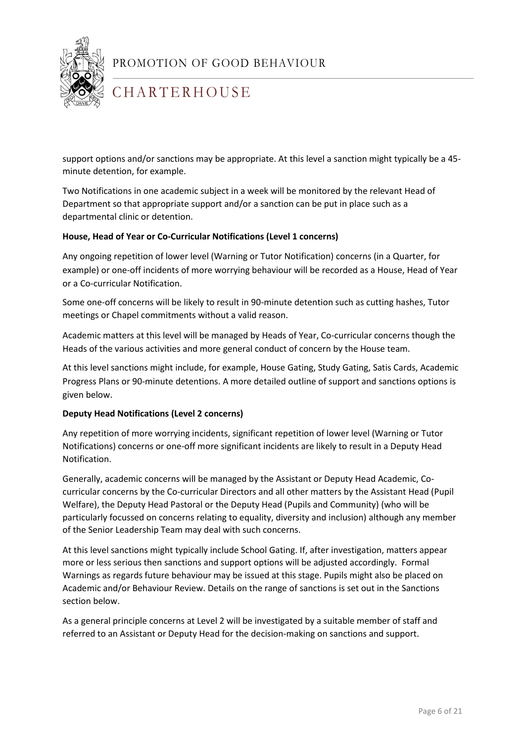

## **CHARTERHOUSE**

support options and/or sanctions may be appropriate. At this level a sanction might typically be a 45 minute detention, for example.

Two Notifications in one academic subject in a week will be monitored by the relevant Head of Department so that appropriate support and/or a sanction can be put in place such as a departmental clinic or detention.

#### **House, Head of Year or Co-Curricular Notifications (Level 1 concerns)**

Any ongoing repetition of lower level (Warning or Tutor Notification) concerns (in a Quarter, for example) or one-off incidents of more worrying behaviour will be recorded as a House, Head of Year or a Co-curricular Notification.

Some one-off concerns will be likely to result in 90-minute detention such as cutting hashes, Tutor meetings or Chapel commitments without a valid reason.

Academic matters at this level will be managed by Heads of Year, Co-curricular concerns though the Heads of the various activities and more general conduct of concern by the House team.

At this level sanctions might include, for example, House Gating, Study Gating, Satis Cards, Academic Progress Plans or 90-minute detentions. A more detailed outline of support and sanctions options is given below.

#### **Deputy Head Notifications (Level 2 concerns)**

Any repetition of more worrying incidents, significant repetition of lower level (Warning or Tutor Notifications) concerns or one-off more significant incidents are likely to result in a Deputy Head Notification.

Generally, academic concerns will be managed by the Assistant or Deputy Head Academic, Cocurricular concerns by the Co-curricular Directors and all other matters by the Assistant Head (Pupil Welfare), the Deputy Head Pastoral or the Deputy Head (Pupils and Community) (who will be particularly focussed on concerns relating to equality, diversity and inclusion) although any member of the Senior Leadership Team may deal with such concerns.

At this level sanctions might typically include School Gating. If, after investigation, matters appear more or less serious then sanctions and support options will be adjusted accordingly. Formal Warnings as regards future behaviour may be issued at this stage. Pupils might also be placed on Academic and/or Behaviour Review. Details on the range of sanctions is set out in the Sanctions section below.

As a general principle concerns at Level 2 will be investigated by a suitable member of staff and referred to an Assistant or Deputy Head for the decision-making on sanctions and support.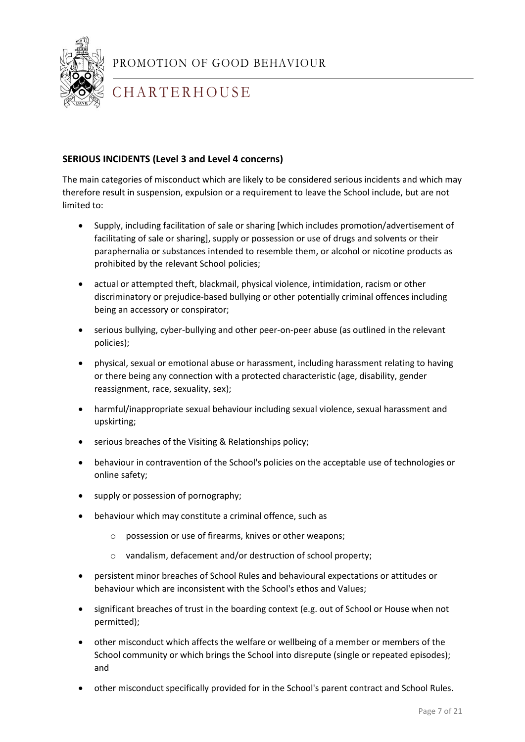

## **CHARTERHOUSE**

#### **SERIOUS INCIDENTS (Level 3 and Level 4 concerns)**

The main categories of misconduct which are likely to be considered serious incidents and which may therefore result in suspension, expulsion or a requirement to leave the School include, but are not limited to:

- Supply, including facilitation of sale or sharing [which includes promotion/advertisement of facilitating of sale or sharing], supply or possession or use of drugs and solvents or their paraphernalia or substances intended to resemble them, or alcohol or nicotine products as prohibited by the relevant School policies;
- actual or attempted theft, blackmail, physical violence, intimidation, racism or other discriminatory or prejudice-based bullying or other potentially criminal offences including being an accessory or conspirator;
- serious bullying, cyber-bullying and other peer-on-peer abuse (as outlined in the relevant policies);
- physical, sexual or emotional abuse or harassment, including harassment relating to having or there being any connection with a protected characteristic (age, disability, gender reassignment, race, sexuality, sex);
- harmful/inappropriate sexual behaviour including sexual violence, sexual harassment and upskirting;
- serious breaches of the Visiting & Relationships policy;
- behaviour in contravention of the School's policies on the acceptable use of technologies or online safety;
- supply or possession of pornography;
- behaviour which may constitute a criminal offence, such as
	- o possession or use of firearms, knives or other weapons;
	- o vandalism, defacement and/or destruction of school property;
- persistent minor breaches of School Rules and behavioural expectations or attitudes or behaviour which are inconsistent with the School's ethos and Values;
- significant breaches of trust in the boarding context (e.g. out of School or House when not permitted);
- other misconduct which affects the welfare or wellbeing of a member or members of the School community or which brings the School into disrepute (single or repeated episodes); and
- other misconduct specifically provided for in the School's parent contract and School Rules.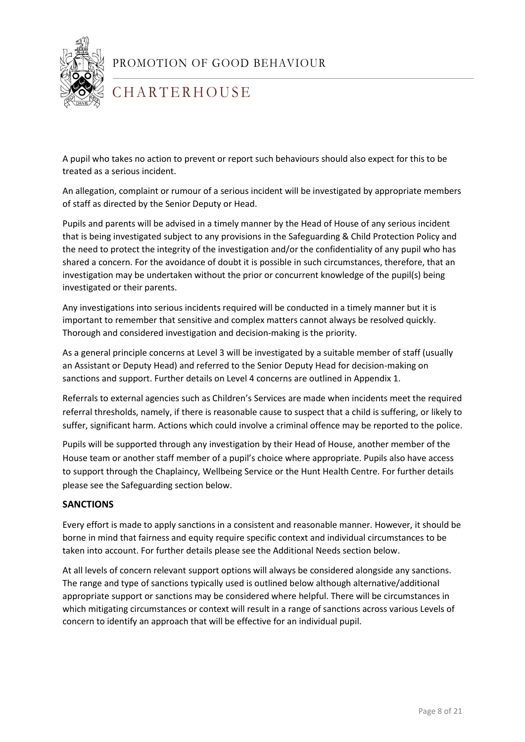

## **CHARTERHOUSE**

A pupil who takes no action to prevent or report such behaviours should also expect for this to be treated as a serious incident.

An allegation, complaint or rumour of a serious incident will be investigated by appropriate members of staff as directed by the Senior Deputy or Head.

Pupils and parents will be advised in a timely manner by the Head of House of any serious incident that is being investigated subject to any provisions in the Safeguarding & Child Protection Policy and the need to protect the integrity of the investigation and/or the confidentiality of any pupil who has shared a concern. For the avoidance of doubt it is possible in such circumstances, therefore, that an investigation may be undertaken without the prior or concurrent knowledge of the pupil(s) being investigated or their parents.

Any investigations into serious incidents required will be conducted in a timely manner but it is important to remember that sensitive and complex matters cannot always be resolved quickly. Thorough and considered investigation and decision-making is the priority.

As a general principle concerns at Level 3 will be investigated by a suitable member of staff (usually an Assistant or Deputy Head) and referred to the Senior Deputy Head for decision-making on sanctions and support. Further details on Level 4 concerns are outlined in Appendix 1.

Referrals to external agencies such as Children's Services are made when incidents meet the required referral thresholds, namely, if there is reasonable cause to suspect that a child is suffering, or likely to suffer, significant harm. Actions which could involve a criminal offence may be reported to the police.

Pupils will be supported through any investigation by their Head of House, another member of the House team or another staff member of a pupil's choice where appropriate. Pupils also have access to support through the Chaplaincy, Wellbeing Service or the Hunt Health Centre. For further details please see the Safeguarding section below.

#### **SANCTIONS**

1 borne in mind that fairness and equity require specific context and individual circumstances to be Every effort is made to apply sanctions in a consistent and reasonable manner. However, it should be taken into account. For further details please see the Additional Needs section below.

At all levels of concern relevant support options will always be considered alongside any sanctions. The range and type of sanctions typically used is outlined below although alternative/additional appropriate support or sanctions may be considered where helpful. There will be circumstances in which mitigating circumstances or context will result in a range of sanctions across various Levels of concern to identify an approach that will be effective for an individual pupil.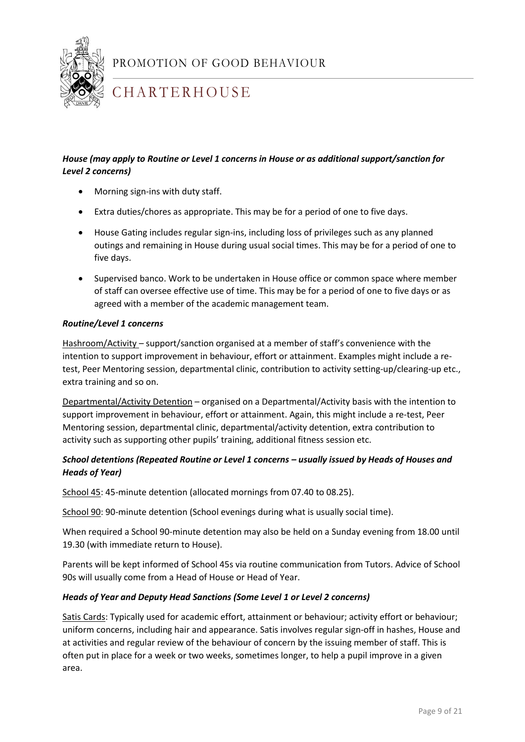

## **CHARTERHOUSE**

#### *House (may apply to Routine or Level 1 concerns in House or as additional support/sanction for Level 2 concerns)*

- Morning sign-ins with duty staff.
- Extra duties/chores as appropriate. This may be for a period of one to five days.
- House Gating includes regular sign-ins, including loss of privileges such as any planned outings and remaining in House during usual social times. This may be for a period of one to five days.
- Supervised banco. Work to be undertaken in House office or common space where member of staff can oversee effective use of time. This may be for a period of one to five days or as agreed with a member of the academic management team.

#### *Routine/Level 1 concerns*

Hashroom/Activity – support/sanction organised at a member of staff's convenience with the intention to support improvement in behaviour, effort or attainment. Examples might include a retest, Peer Mentoring session, departmental clinic, contribution to activity setting-up/clearing-up etc., extra training and so on.

Departmental/Activity Detention – organised on a Departmental/Activity basis with the intention to support improvement in behaviour, effort or attainment. Again, this might include a re-test, Peer Mentoring session, departmental clinic, departmental/activity detention, extra contribution to activity such as supporting other pupils' training, additional fitness session etc.

#### *School detentions (Repeated Routine or Level 1 concerns – usually issued by Heads of Houses and Heads of Year)*

School 45: 45-minute detention (allocated mornings from 07.40 to 08.25).

School 90: 90-minute detention (School evenings during what is usually social time).

1 19.30 (with immediate return to House). When required a School 90-minute detention may also be held on a Sunday evening from 18.00 until

Parents will be kept informed of School 45s via routine communication from Tutors. Advice of School 90s will usually come from a Head of House or Head of Year.

#### *Heads of Year and Deputy Head Sanctions (Some Level 1 or Level 2 concerns)*

Satis Cards: Typically used for academic effort, attainment or behaviour; activity effort or behaviour; uniform concerns, including hair and appearance. Satis involves regular sign-off in hashes, House and at activities and regular review of the behaviour of concern by the issuing member of staff. This is often put in place for a week or two weeks, sometimes longer, to help a pupil improve in a given area.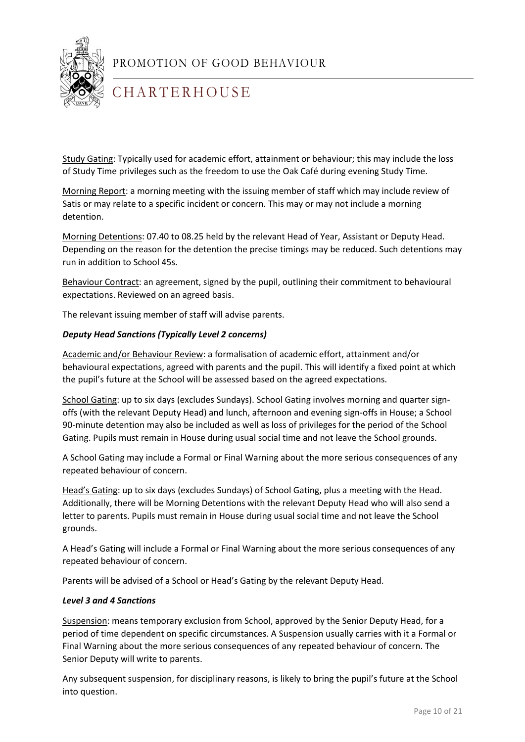

## **CHARTERHOUSE**

Study Gating: Typically used for academic effort, attainment or behaviour; this may include the loss of Study Time privileges such as the freedom to use the Oak Café during evening Study Time.

Morning Report: a morning meeting with the issuing member of staff which may include review of Satis or may relate to a specific incident or concern. This may or may not include a morning detention.

Morning Detentions: 07.40 to 08.25 held by the relevant Head of Year, Assistant or Deputy Head. Depending on the reason for the detention the precise timings may be reduced. Such detentions may run in addition to School 45s.

Behaviour Contract: an agreement, signed by the pupil, outlining their commitment to behavioural expectations. Reviewed on an agreed basis.

The relevant issuing member of staff will advise parents.

#### *Deputy Head Sanctions (Typically Level 2 concerns)*

Academic and/or Behaviour Review: a formalisation of academic effort, attainment and/or behavioural expectations, agreed with parents and the pupil. This will identify a fixed point at which the pupil's future at the School will be assessed based on the agreed expectations.

School Gating: up to six days (excludes Sundays). School Gating involves morning and quarter signoffs (with the relevant Deputy Head) and lunch, afternoon and evening sign-offs in House; a School 90-minute detention may also be included as well as loss of privileges for the period of the School Gating. Pupils must remain in House during usual social time and not leave the School grounds.

A School Gating may include a Formal or Final Warning about the more serious consequences of any repeated behaviour of concern.

Head's Gating: up to six days (excludes Sundays) of School Gating, plus a meeting with the Head. Additionally, there will be Morning Detentions with the relevant Deputy Head who will also send a letter to parents. Pupils must remain in House during usual social time and not leave the School grounds.

A Head's Gating will include a Formal or Final Warning about the more serious consequences of any repeated behaviour of concern.

Parents will be advised of a School or Head's Gating by the relevant Deputy Head.

#### *Level 3 and 4 Sanctions*

Suspension: means temporary exclusion from School, approved by the Senior Deputy Head, for a period of time dependent on specific circumstances. A Suspension usually carries with it a Formal or Final Warning about the more serious consequences of any repeated behaviour of concern. The Senior Deputy will write to parents.

Any subsequent suspension, for disciplinary reasons, is likely to bring the pupil's future at the School into question.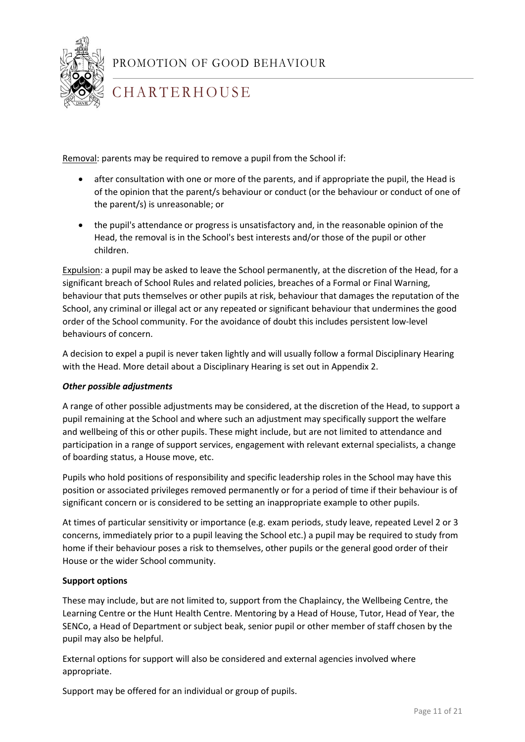

## **CHARTERHOUSE**

Removal: parents may be required to remove a pupil from the School if:

- after consultation with one or more of the parents, and if appropriate the pupil, the Head is of the opinion that the parent/s behaviour or conduct (or the behaviour or conduct of one of the parent/s) is unreasonable; or
- the pupil's attendance or progress is unsatisfactory and, in the reasonable opinion of the Head, the removal is in the School's best interests and/or those of the pupil or other children.

Expulsion: a pupil may be asked to leave the School permanently, at the discretion of the Head, for a significant breach of School Rules and related policies, breaches of a Formal or Final Warning, behaviour that puts themselves or other pupils at risk, behaviour that damages the reputation of the School, any criminal or illegal act or any repeated or significant behaviour that undermines the good order of the School community. For the avoidance of doubt this includes persistent low-level behaviours of concern.

A decision to expel a pupil is never taken lightly and will usually follow a formal Disciplinary Hearing with the Head. More detail about a Disciplinary Hearing is set out in Appendix 2.

#### *Other possible adjustments*

A range of other possible adjustments may be considered, at the discretion of the Head, to support a pupil remaining at the School and where such an adjustment may specifically support the welfare and wellbeing of this or other pupils. These might include, but are not limited to attendance and participation in a range of support services, engagement with relevant external specialists, a change of boarding status, a House move, etc.

Pupils who hold positions of responsibility and specific leadership roles in the School may have this position or associated privileges removed permanently or for a period of time if their behaviour is of significant concern or is considered to be setting an inappropriate example to other pupils.

1 concerns, immediately prior to a pupil leaving the School etc.) a pupil may be required to study from At times of particular sensitivity or importance (e.g. exam periods, study leave, repeated Level 2 or 3 home if their behaviour poses a risk to themselves, other pupils or the general good order of their House or the wider School community.

#### **Support options**

These may include, but are not limited to, support from the Chaplaincy, the Wellbeing Centre, the Learning Centre or the Hunt Health Centre. Mentoring by a Head of House, Tutor, Head of Year, the SENCo, a Head of Department or subject beak, senior pupil or other member of staff chosen by the pupil may also be helpful.

External options for support will also be considered and external agencies involved where appropriate.

Support may be offered for an individual or group of pupils.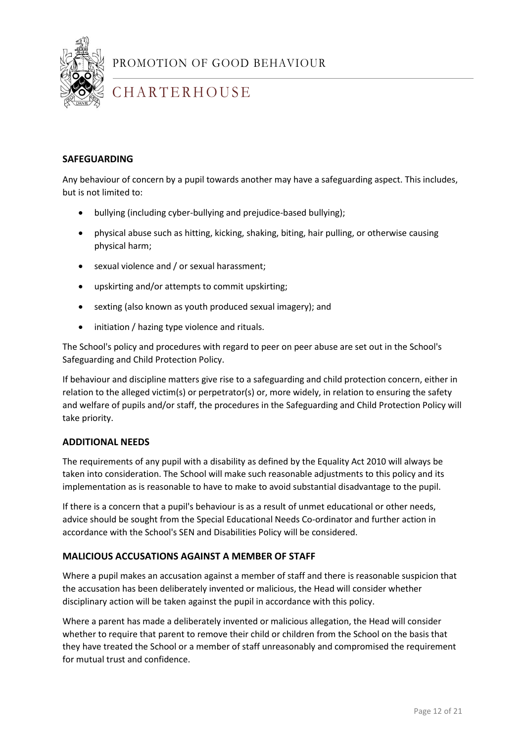

## **CHARTERHOUSE**

#### **SAFEGUARDING**

Any behaviour of concern by a pupil towards another may have a safeguarding aspect. This includes, but is not limited to:

- bullying (including cyber-bullying and prejudice-based bullying);
- physical abuse such as hitting, kicking, shaking, biting, hair pulling, or otherwise causing physical harm;
- sexual violence and / or sexual harassment;
- upskirting and/or attempts to commit upskirting;
- sexting (also known as youth produced sexual imagery); and
- initiation / hazing type violence and rituals.

The School's policy and procedures with regard to peer on peer abuse are set out in the School's Safeguarding and Child Protection Policy.

If behaviour and discipline matters give rise to a safeguarding and child protection concern, either in relation to the alleged victim(s) or perpetrator(s) or, more widely, in relation to ensuring the safety and welfare of pupils and/or staff, the procedures in the Safeguarding and Child Protection Policy will take priority.

#### **ADDITIONAL NEEDS**

The requirements of any pupil with a disability as defined by the Equality Act 2010 will always be taken into consideration. The School will make such reasonable adjustments to this policy and its implementation as is reasonable to have to make to avoid substantial disadvantage to the pupil.

1 If there is a concern that a pupil's behaviour is as a result of unmet educational or other needs, advice should be sought from the Special Educational Needs Co-ordinator and further action in accordance with the School's SEN and Disabilities Policy will be considered.

#### **MALICIOUS ACCUSATIONS AGAINST A MEMBER OF STAFF**

Where a pupil makes an accusation against a member of staff and there is reasonable suspicion that the accusation has been deliberately invented or malicious, the Head will consider whether disciplinary action will be taken against the pupil in accordance with this policy.

Where a parent has made a deliberately invented or malicious allegation, the Head will consider whether to require that parent to remove their child or children from the School on the basis that they have treated the School or a member of staff unreasonably and compromised the requirement for mutual trust and confidence.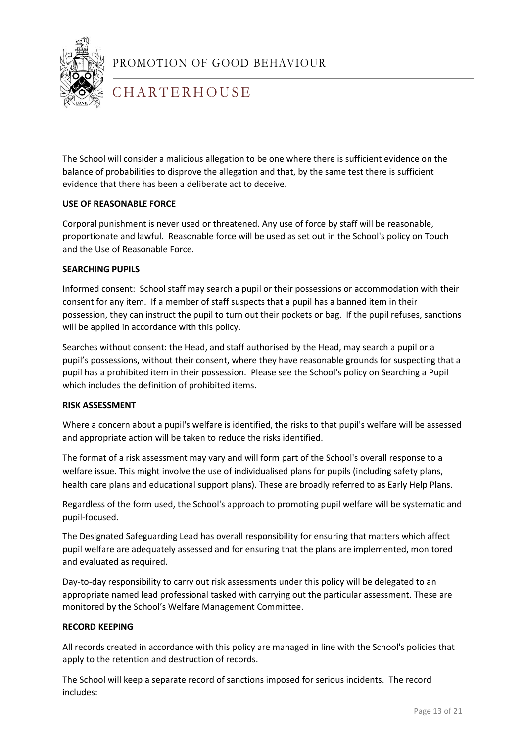

## **CHARTERHOUSE**

The School will consider a malicious allegation to be one where there is sufficient evidence on the balance of probabilities to disprove the allegation and that, by the same test there is sufficient evidence that there has been a deliberate act to deceive.

#### **USE OF REASONABLE FORCE**

Corporal punishment is never used or threatened. Any use of force by staff will be reasonable, proportionate and lawful. Reasonable force will be used as set out in the School's policy on Touch and the Use of Reasonable Force.

#### **SEARCHING PUPILS**

Informed consent: School staff may search a pupil or their possessions or accommodation with their consent for any item. If a member of staff suspects that a pupil has a banned item in their possession, they can instruct the pupil to turn out their pockets or bag. If the pupil refuses, sanctions will be applied in accordance with this policy.

Searches without consent: the Head, and staff authorised by the Head, may search a pupil or a pupil's possessions, without their consent, where they have reasonable grounds for suspecting that a pupil has a prohibited item in their possession. Please see the School's policy on Searching a Pupil which includes the definition of prohibited items.

#### **RISK ASSESSMENT**

Where a concern about a pupil's welfare is identified, the risks to that pupil's welfare will be assessed and appropriate action will be taken to reduce the risks identified.

The format of a risk assessment may vary and will form part of the School's overall response to a welfare issue. This might involve the use of individualised plans for pupils (including safety plans, health care plans and educational support plans). These are broadly referred to as Early Help Plans.

Regardless of the form used, the School's approach to promoting pupil welfare will be systematic and pupil-focused.

1 The Designated Safeguarding Lead has overall responsibility for ensuring that matters which affect pupil welfare are adequately assessed and for ensuring that the plans are implemented, monitored and evaluated as required.

Day-to-day responsibility to carry out risk assessments under this policy will be delegated to an appropriate named lead professional tasked with carrying out the particular assessment. These are monitored by the School's Welfare Management Committee.

#### **RECORD KEEPING**

All records created in accordance with this policy are managed in line with the School's policies that apply to the retention and destruction of records.

The School will keep a separate record of sanctions imposed for serious incidents. The record includes: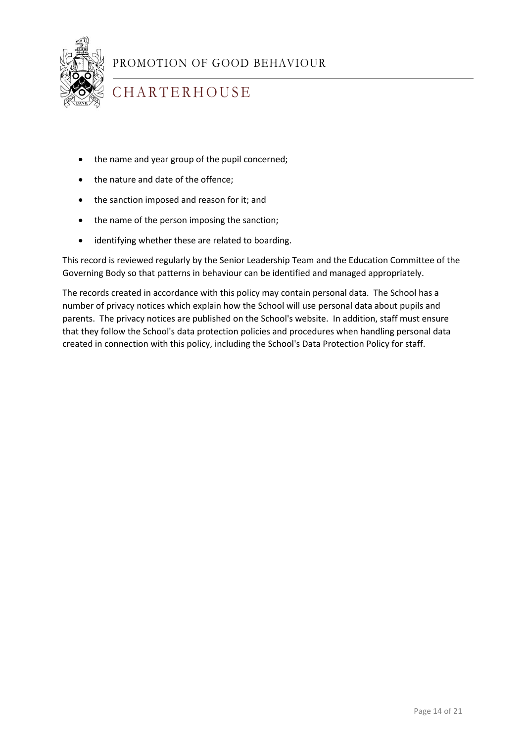

## **CHARTERHOUSE**

- the name and year group of the pupil concerned;
- the nature and date of the offence:
- the sanction imposed and reason for it; and
- the name of the person imposing the sanction;
- identifying whether these are related to boarding.

This record is reviewed regularly by the Senior Leadership Team and the Education Committee of the Governing Body so that patterns in behaviour can be identified and managed appropriately.

The records created in accordance with this policy may contain personal data. The School has a number of privacy notices which explain how the School will use personal data about pupils and parents. The privacy notices are published on the School's website. In addition, staff must ensure that they follow the School's data protection policies and procedures when handling personal data created in connection with this policy, including the School's Data Protection Policy for staff.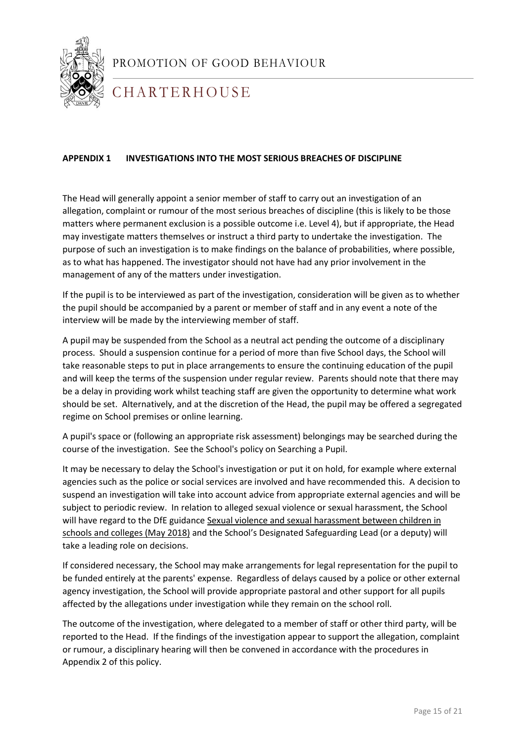

**CHARTERHOUSE** 

#### **APPENDIX 1 INVESTIGATIONS INTO THE MOST SERIOUS BREACHES OF DISCIPLINE**

The Head will generally appoint a senior member of staff to carry out an investigation of an allegation, complaint or rumour of the most serious breaches of discipline (this is likely to be those matters where permanent exclusion is a possible outcome i.e. Level 4), but if appropriate, the Head may investigate matters themselves or instruct a third party to undertake the investigation. The purpose of such an investigation is to make findings on the balance of probabilities, where possible, as to what has happened. The investigator should not have had any prior involvement in the management of any of the matters under investigation.

If the pupil is to be interviewed as part of the investigation, consideration will be given as to whether the pupil should be accompanied by a parent or member of staff and in any event a note of the interview will be made by the interviewing member of staff.

A pupil may be suspended from the School as a neutral act pending the outcome of a disciplinary process. Should a suspension continue for a period of more than five School days, the School will take reasonable steps to put in place arrangements to ensure the continuing education of the pupil and will keep the terms of the suspension under regular review. Parents should note that there may be a delay in providing work whilst teaching staff are given the opportunity to determine what work should be set. Alternatively, and at the discretion of the Head, the pupil may be offered a segregated regime on School premises or online learning.

A pupil's space or (following an appropriate risk assessment) belongings may be searched during the course of the investigation. See the School's policy on Searching a Pupil.

**take a leading role on decisions.** It may be necessary to delay the School's investigation or put it on hold, for example where external agencies such as the police or social services are involved and have recommended this. A decision to suspend an investigation will take into account advice from appropriate external agencies and will be subject to periodic review. In relation to alleged sexual violence or sexual harassment, the School will have regard to the DfE guidance [Sexual violence and sexual harassment between children in](https://www.gov.uk/government/publications/sexual-violence-and-sexual-harassment-between-children-in-schools-and-colleges)  [schools and colleges \(May 2018\)](https://www.gov.uk/government/publications/sexual-violence-and-sexual-harassment-between-children-in-schools-and-colleges) and the School's Designated Safeguarding Lead (or a deputy) will

If considered necessary, the School may make arrangements for legal representation for the pupil to be funded entirely at the parents' expense. Regardless of delays caused by a police or other external agency investigation, the School will provide appropriate pastoral and other support for all pupils affected by the allegations under investigation while they remain on the school roll.

The outcome of the investigation, where delegated to a member of staff or other third party, will be reported to the Head. If the findings of the investigation appear to support the allegation, complaint or rumour, a disciplinary hearing will then be convened in accordance with the procedures in Appendix 2 of this policy.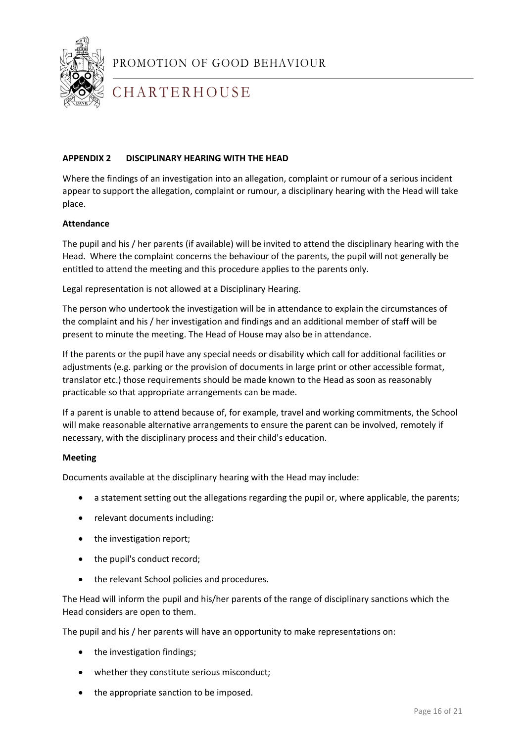

## **CHARTERHOUSE**

#### **APPENDIX 2 DISCIPLINARY HEARING WITH THE HEAD**

Where the findings of an investigation into an allegation, complaint or rumour of a serious incident appear to support the allegation, complaint or rumour, a disciplinary hearing with the Head will take place.

#### **Attendance**

The pupil and his / her parents (if available) will be invited to attend the disciplinary hearing with the Head. Where the complaint concerns the behaviour of the parents, the pupil will not generally be entitled to attend the meeting and this procedure applies to the parents only.

Legal representation is not allowed at a Disciplinary Hearing.

The person who undertook the investigation will be in attendance to explain the circumstances of the complaint and his / her investigation and findings and an additional member of staff will be present to minute the meeting. The Head of House may also be in attendance.

If the parents or the pupil have any special needs or disability which call for additional facilities or adjustments (e.g. parking or the provision of documents in large print or other accessible format, translator etc.) those requirements should be made known to the Head as soon as reasonably practicable so that appropriate arrangements can be made.

If a parent is unable to attend because of, for example, travel and working commitments, the School will make reasonable alternative arrangements to ensure the parent can be involved, remotely if necessary, with the disciplinary process and their child's education.

#### **Meeting**

Documents available at the disciplinary hearing with the Head may include:

- a statement setting out the allegations regarding the pupil or, where applicable, the parents;
- relevant documents including:
- the investigation report;
- the pupil's conduct record;
- the relevant School policies and procedures.

The Head will inform the pupil and his/her parents of the range of disciplinary sanctions which the Head considers are open to them.

The pupil and his / her parents will have an opportunity to make representations on:

- the investigation findings;
- whether they constitute serious misconduct;
- the appropriate sanction to be imposed.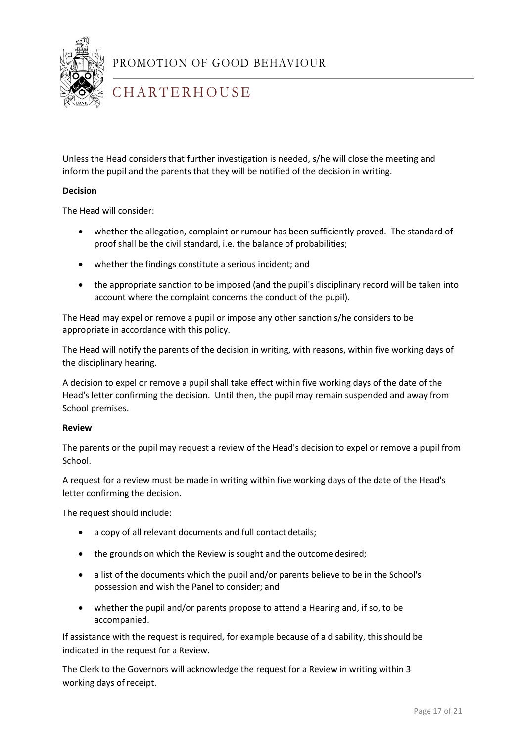

## **CHARTERHOUSE**

Unless the Head considers that further investigation is needed, s/he will close the meeting and inform the pupil and the parents that they will be notified of the decision in writing.

#### **Decision**

The Head will consider:

- whether the allegation, complaint or rumour has been sufficiently proved. The standard of proof shall be the civil standard, i.e. the balance of probabilities;
- whether the findings constitute a serious incident; and
- the appropriate sanction to be imposed (and the pupil's disciplinary record will be taken into account where the complaint concerns the conduct of the pupil).

The Head may expel or remove a pupil or impose any other sanction s/he considers to be appropriate in accordance with this policy.

The Head will notify the parents of the decision in writing, with reasons, within five working days of the disciplinary hearing.

A decision to expel or remove a pupil shall take effect within five working days of the date of the Head's letter confirming the decision. Until then, the pupil may remain suspended and away from School premises.

#### **Review**

The parents or the pupil may request a review of the Head's decision to expel or remove a pupil from School.

A request for a review must be made in writing within five working days of the date of the Head's letter confirming the decision.

The request should include:

- a copy of all relevant documents and full contact details;
- the grounds on which the Review is sought and the outcome desired;
- a list of the documents which the pupil and/or parents believe to be in the School's possession and wish the Panel to consider; and
- whether the pupil and/or parents propose to attend a Hearing and, if so, to be accompanied.

If assistance with the request is required, for example because of a disability, this should be indicated in the request for a Review.

The Clerk to the Governors will acknowledge the request for a Review in writing within 3 working days of receipt.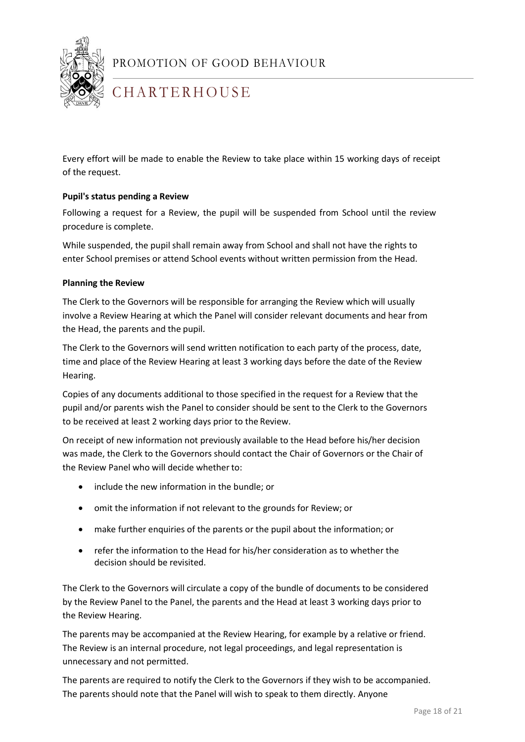

## **CHARTERHOUSE**

Every effort will be made to enable the Review to take place within 15 working days of receipt of the request.

#### **Pupil's status pending a Review**

Following a request for a Review, the pupil will be suspended from School until the review procedure is complete.

While suspended, the pupil shall remain away from School and shall not have the rights to enter School premises or attend School events without written permission from the Head.

#### **Planning the Review**

The Clerk to the Governors will be responsible for arranging the Review which will usually involve a Review Hearing at which the Panel will consider relevant documents and hear from the Head, the parents and the pupil.

The Clerk to the Governors will send written notification to each party of the process, date, time and place of the Review Hearing at least 3 working days before the date of the Review Hearing.

Copies of any documents additional to those specified in the request for a Review that the pupil and/or parents wish the Panel to consider should be sent to the Clerk to the Governors to be received at least 2 working days prior to the Review.

On receipt of new information not previously available to the Head before his/her decision was made, the Clerk to the Governors should contact the Chair of Governors or the Chair of the Review Panel who will decide whether to:

- include the new information in the bundle; or
- omit the information if not relevant to the grounds for Review; or
- make further enquiries of the parents or the pupil about the information; or
- refer the information to the Head for his/her consideration as to whether the decision should be revisited.

The Clerk to the Governors will circulate a copy of the bundle of documents to be considered by the Review Panel to the Panel, the parents and the Head at least 3 working days prior to the Review Hearing.

The parents may be accompanied at the Review Hearing, for example by a relative or friend. The Review is an internal procedure, not legal proceedings, and legal representation is unnecessary and not permitted.

The parents are required to notify the Clerk to the Governors if they wish to be accompanied. The parents should note that the Panel will wish to speak to them directly. Anyone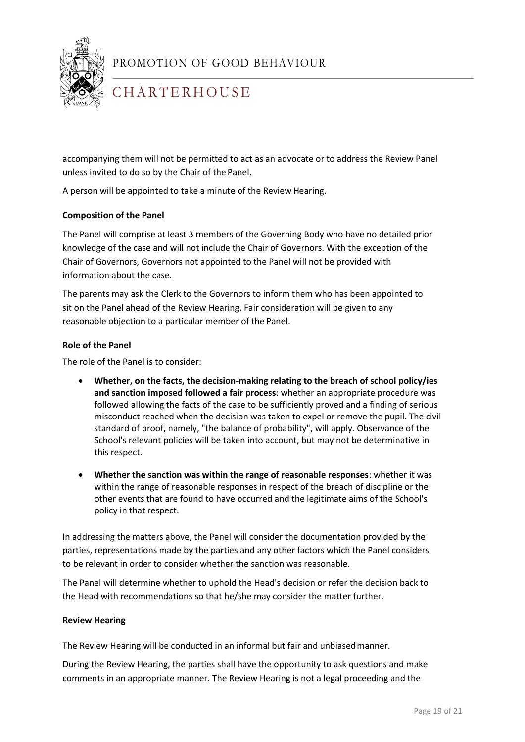

## **CHARTERHOUSE**

accompanying them will not be permitted to act as an advocate or to address the Review Panel unless invited to do so by the Chair of the Panel.

A person will be appointed to take a minute of the Review Hearing.

#### **Composition of the Panel**

The Panel will comprise at least 3 members of the Governing Body who have no detailed prior knowledge of the case and will not include the Chair of Governors. With the exception of the Chair of Governors, Governors not appointed to the Panel will not be provided with information about the case.

The parents may ask the Clerk to the Governors to inform them who has been appointed to sit on the Panel ahead of the Review Hearing. Fair consideration will be given to any reasonable objection to a particular member of the Panel.

#### **Role of the Panel**

The role of the Panel is to consider:

- **Whether, on the facts, the decision-making relating to the breach of school policy/ies and sanction imposed followed a fair process**: whether an appropriate procedure was followed allowing the facts of the case to be sufficiently proved and a finding of serious misconduct reached when the decision was taken to expel or remove the pupil. The civil standard of proof, namely, "the balance of probability", will apply. Observance of the School's relevant policies will be taken into account, but may not be determinative in this respect.
- **Whether the sanction was within the range of reasonable responses**: whether it was within the range of reasonable responses in respect of the breach of discipline or the other events that are found to have occurred and the legitimate aims of the School's policy in that respect.

1 In addressing the matters above, the Panel will consider the documentation provided by the parties, representations made by the parties and any other factors which the Panel considers to be relevant in order to consider whether the sanction was reasonable.

The Panel will determine whether to uphold the Head's decision or refer the decision back to the Head with recommendations so that he/she may consider the matter further.

#### **Review Hearing**

The Review Hearing will be conducted in an informal but fair and unbiasedmanner.

During the Review Hearing, the parties shall have the opportunity to ask questions and make comments in an appropriate manner. The Review Hearing is not a legal proceeding and the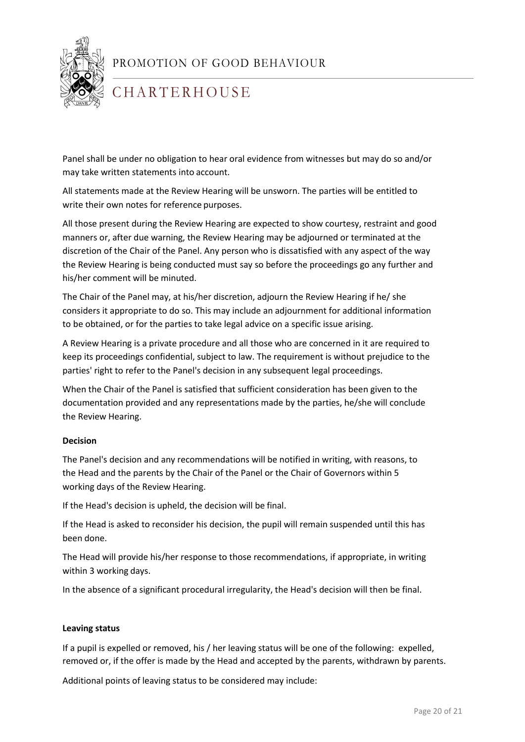

## **CHARTERHOUSE**

Panel shall be under no obligation to hear oral evidence from witnesses but may do so and/or may take written statements into account.

All statements made at the Review Hearing will be unsworn. The parties will be entitled to write their own notes for reference purposes.

All those present during the Review Hearing are expected to show courtesy, restraint and good manners or, after due warning, the Review Hearing may be adjourned or terminated at the discretion of the Chair of the Panel. Any person who is dissatisfied with any aspect of the way the Review Hearing is being conducted must say so before the proceedings go any further and his/her comment will be minuted.

The Chair of the Panel may, at his/her discretion, adjourn the Review Hearing if he/ she considers it appropriate to do so. This may include an adjournment for additional information to be obtained, or for the parties to take legal advice on a specific issue arising.

A Review Hearing is a private procedure and all those who are concerned in it are required to keep its proceedings confidential, subject to law. The requirement is without prejudice to the parties' right to refer to the Panel's decision in any subsequent legal proceedings.

When the Chair of the Panel is satisfied that sufficient consideration has been given to the documentation provided and any representations made by the parties, he/she will conclude the Review Hearing.

#### **Decision**

The Panel's decision and any recommendations will be notified in writing, with reasons, to the Head and the parents by the Chair of the Panel or the Chair of Governors within 5 working days of the Review Hearing.

If the Head's decision is upheld, the decision will be final.

1 been done. If the Head is asked to reconsider his decision, the pupil will remain suspended until this has

The Head will provide his/her response to those recommendations, if appropriate, in writing within 3 working days.

In the absence of a significant procedural irregularity, the Head's decision will then be final.

#### **Leaving status**

If a pupil is expelled or removed, his / her leaving status will be one of the following: expelled, removed or, if the offer is made by the Head and accepted by the parents, withdrawn by parents.

Additional points of leaving status to be considered may include: